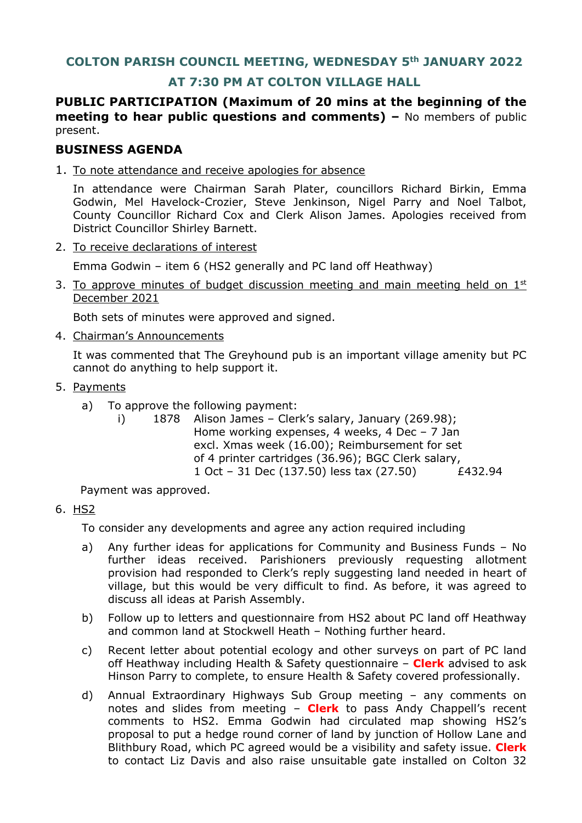# **COLTON PARISH COUNCIL MEETING, WEDNESDAY 5th JANUARY 2022**

## **AT 7:30 PM AT COLTON VILLAGE HALL**

**PUBLIC PARTICIPATION (Maximum of 20 mins at the beginning of the meeting to hear public questions and comments) –** No members of public present.

## **BUSINESS AGENDA**

1. To note attendance and receive apologies for absence

In attendance were Chairman Sarah Plater, councillors Richard Birkin, Emma Godwin, Mel Havelock-Crozier, Steve Jenkinson, Nigel Parry and Noel Talbot, County Councillor Richard Cox and Clerk Alison James. Apologies received from District Councillor Shirley Barnett.

2. To receive declarations of interest

Emma Godwin – item 6 (HS2 generally and PC land off Heathway)

3. To approve minutes of budget discussion meeting and main meeting held on  $1<sup>st</sup>$ December 2021

Both sets of minutes were approved and signed.

4. Chairman's Announcements

It was commented that The Greyhound pub is an important village amenity but PC cannot do anything to help support it.

- 5. Payments
	- a) To approve the following payment:
		- i) 1878 Alison James Clerk's salary, January (269.98); Home working expenses, 4 weeks, 4 Dec – 7 Jan excl. Xmas week (16.00); Reimbursement for set of 4 printer cartridges (36.96); BGC Clerk salary, 1 Oct – 31 Dec (137.50) less tax (27.50) £432.94

Payment was approved.

## 6. HS2

To consider any developments and agree any action required including

- a) Any further ideas for applications for Community and Business Funds No further ideas received. Parishioners previously requesting allotment provision had responded to Clerk's reply suggesting land needed in heart of village, but this would be very difficult to find. As before, it was agreed to discuss all ideas at Parish Assembly.
- b) Follow up to letters and questionnaire from HS2 about PC land off Heathway and common land at Stockwell Heath – Nothing further heard.
- c) Recent letter about potential ecology and other surveys on part of PC land off Heathway including Health & Safety questionnaire – **Clerk** advised to ask Hinson Parry to complete, to ensure Health & Safety covered professionally.
- d) Annual Extraordinary Highways Sub Group meeting any comments on notes and slides from meeting – **Clerk** to pass Andy Chappell's recent comments to HS2. Emma Godwin had circulated map showing HS2's proposal to put a hedge round corner of land by junction of Hollow Lane and Blithbury Road, which PC agreed would be a visibility and safety issue. **Clerk**  to contact Liz Davis and also raise unsuitable gate installed on Colton 32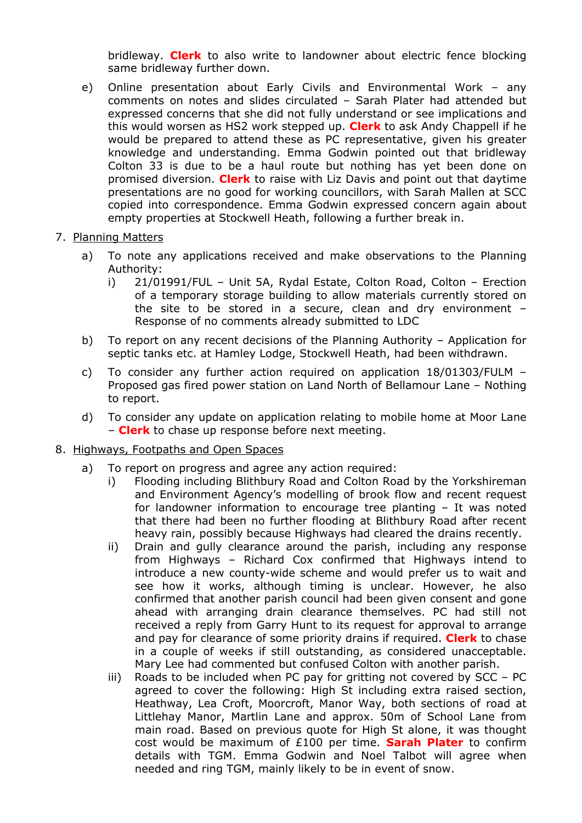bridleway. **Clerk** to also write to landowner about electric fence blocking same bridleway further down.

- e) Online presentation about Early Civils and Environmental Work any comments on notes and slides circulated – Sarah Plater had attended but expressed concerns that she did not fully understand or see implications and this would worsen as HS2 work stepped up. **Clerk** to ask Andy Chappell if he would be prepared to attend these as PC representative, given his greater knowledge and understanding. Emma Godwin pointed out that bridleway Colton 33 is due to be a haul route but nothing has yet been done on promised diversion. **Clerk** to raise with Liz Davis and point out that daytime presentations are no good for working councillors, with Sarah Mallen at SCC copied into correspondence. Emma Godwin expressed concern again about empty properties at Stockwell Heath, following a further break in.
- 7. Planning Matters
	- a) To note any applications received and make observations to the Planning Authority:
		- i) 21/01991/FUL Unit 5A, Rydal Estate, Colton Road, Colton Erection of a temporary storage building to allow materials currently stored on the site to be stored in a secure, clean and dry environment – Response of no comments already submitted to LDC
	- b) To report on any recent decisions of the Planning Authority Application for septic tanks etc. at Hamley Lodge, Stockwell Heath, had been withdrawn.
	- c) To consider any further action required on application 18/01303/FULM Proposed gas fired power station on Land North of Bellamour Lane – Nothing to report.
	- d) To consider any update on application relating to mobile home at Moor Lane – **Clerk** to chase up response before next meeting.
- 8. Highways, Footpaths and Open Spaces
	- a) To report on progress and agree any action required:
		- i) Flooding including Blithbury Road and Colton Road by the Yorkshireman and Environment Agency's modelling of brook flow and recent request for landowner information to encourage tree planting – It was noted that there had been no further flooding at Blithbury Road after recent heavy rain, possibly because Highways had cleared the drains recently.
		- ii) Drain and gully clearance around the parish, including any response from Highways – Richard Cox confirmed that Highways intend to introduce a new county-wide scheme and would prefer us to wait and see how it works, although timing is unclear. However, he also confirmed that another parish council had been given consent and gone ahead with arranging drain clearance themselves. PC had still not received a reply from Garry Hunt to its request for approval to arrange and pay for clearance of some priority drains if required. **Clerk** to chase in a couple of weeks if still outstanding, as considered unacceptable. Mary Lee had commented but confused Colton with another parish.
		- iii) Roads to be included when PC pay for gritting not covered by SCC PC agreed to cover the following: High St including extra raised section, Heathway, Lea Croft, Moorcroft, Manor Way, both sections of road at Littlehay Manor, Martlin Lane and approx. 50m of School Lane from main road. Based on previous quote for High St alone, it was thought cost would be maximum of £100 per time. **Sarah Plater** to confirm details with TGM. Emma Godwin and Noel Talbot will agree when needed and ring TGM, mainly likely to be in event of snow.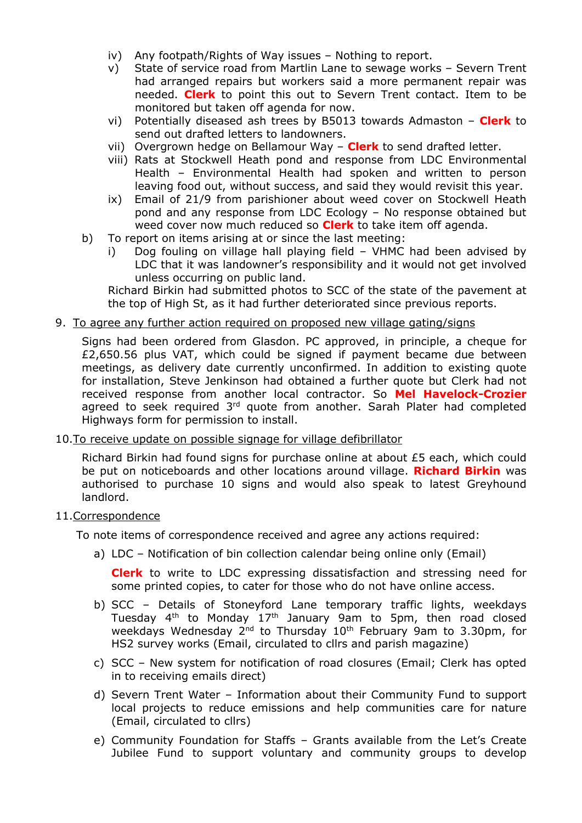- iv) Any footpath/Rights of Way issues Nothing to report.
- v) State of service road from Martlin Lane to sewage works Severn Trent had arranged repairs but workers said a more permanent repair was needed. **Clerk** to point this out to Severn Trent contact. Item to be monitored but taken off agenda for now.
- vi) Potentially diseased ash trees by B5013 towards Admaston **Clerk** to send out drafted letters to landowners.
- vii) Overgrown hedge on Bellamour Way **Clerk** to send drafted letter.
- viii) Rats at Stockwell Heath pond and response from LDC Environmental Health – Environmental Health had spoken and written to person leaving food out, without success, and said they would revisit this year.
- ix) Email of 21/9 from parishioner about weed cover on Stockwell Heath pond and any response from LDC Ecology – No response obtained but weed cover now much reduced so **Clerk** to take item off agenda.
- b) To report on items arising at or since the last meeting:
	- Dog fouling on village hall playing field VHMC had been advised by LDC that it was landowner's responsibility and it would not get involved unless occurring on public land.

Richard Birkin had submitted photos to SCC of the state of the pavement at the top of High St, as it had further deteriorated since previous reports.

9. To agree any further action required on proposed new village gating/signs

Signs had been ordered from Glasdon. PC approved, in principle, a cheque for £2,650.56 plus VAT, which could be signed if payment became due between meetings, as delivery date currently unconfirmed. In addition to existing quote for installation, Steve Jenkinson had obtained a further quote but Clerk had not received response from another local contractor. So **Mel Havelock-Crozier** agreed to seek required 3<sup>rd</sup> quote from another. Sarah Plater had completed Highways form for permission to install.

10.To receive update on possible signage for village defibrillator

Richard Birkin had found signs for purchase online at about £5 each, which could be put on noticeboards and other locations around village. **Richard Birkin** was authorised to purchase 10 signs and would also speak to latest Greyhound landlord.

11.Correspondence

To note items of correspondence received and agree any actions required:

a) LDC – Notification of bin collection calendar being online only (Email)

**Clerk** to write to LDC expressing dissatisfaction and stressing need for some printed copies, to cater for those who do not have online access.

- b) SCC Details of Stoneyford Lane temporary traffic lights, weekdays Tuesday 4<sup>th</sup> to Monday 17<sup>th</sup> January 9am to 5pm, then road closed weekdays Wednesday 2<sup>nd</sup> to Thursday 10<sup>th</sup> February 9am to 3.30pm, for HS2 survey works (Email, circulated to cllrs and parish magazine)
- c) SCC New system for notification of road closures (Email; Clerk has opted in to receiving emails direct)
- d) Severn Trent Water Information about their Community Fund to support local projects to reduce emissions and help communities care for nature (Email, circulated to cllrs)
- e) Community Foundation for Staffs Grants available from the Let's Create Jubilee Fund to support voluntary and community groups to develop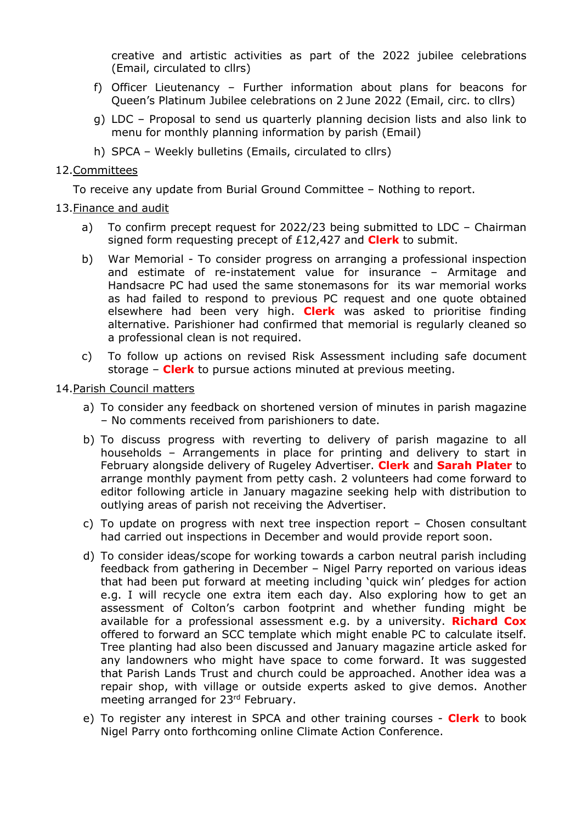creative and artistic activities as part of the 2022 jubilee celebrations (Email, circulated to cllrs)

- f) Officer Lieutenancy Further information about plans for beacons for Queen's Platinum Jubilee celebrations on 2 June 2022 (Email, circ. to cllrs)
- g) LDC Proposal to send us quarterly planning decision lists and also link to menu for monthly planning information by parish (Email)
- h) SPCA Weekly bulletins (Emails, circulated to cllrs)

#### 12.Committees

To receive any update from Burial Ground Committee – Nothing to report.

### 13.Finance and audit

- a) To confirm precept request for 2022/23 being submitted to LDC Chairman signed form requesting precept of £12,427 and **Clerk** to submit.
- b) War Memorial To consider progress on arranging a professional inspection and estimate of re-instatement value for insurance – Armitage and Handsacre PC had used the same stonemasons for its war memorial works as had failed to respond to previous PC request and one quote obtained elsewhere had been very high. **Clerk** was asked to prioritise finding alternative. Parishioner had confirmed that memorial is regularly cleaned so a professional clean is not required.
- c) To follow up actions on revised Risk Assessment including safe document storage – **Clerk** to pursue actions minuted at previous meeting.

### 14.Parish Council matters

- a) To consider any feedback on shortened version of minutes in parish magazine – No comments received from parishioners to date.
- b) To discuss progress with reverting to delivery of parish magazine to all households – Arrangements in place for printing and delivery to start in February alongside delivery of Rugeley Advertiser. **Clerk** and **Sarah Plater** to arrange monthly payment from petty cash. 2 volunteers had come forward to editor following article in January magazine seeking help with distribution to outlying areas of parish not receiving the Advertiser.
- c) To update on progress with next tree inspection report Chosen consultant had carried out inspections in December and would provide report soon.
- d) To consider ideas/scope for working towards a carbon neutral parish including feedback from gathering in December – Nigel Parry reported on various ideas that had been put forward at meeting including 'quick win' pledges for action e.g. I will recycle one extra item each day. Also exploring how to get an assessment of Colton's carbon footprint and whether funding might be available for a professional assessment e.g. by a university. **Richard Cox** offered to forward an SCC template which might enable PC to calculate itself. Tree planting had also been discussed and January magazine article asked for any landowners who might have space to come forward. It was suggested that Parish Lands Trust and church could be approached. Another idea was a repair shop, with village or outside experts asked to give demos. Another meeting arranged for 23rd February.
- e) To register any interest in SPCA and other training courses **Clerk** to book Nigel Parry onto forthcoming online Climate Action Conference.